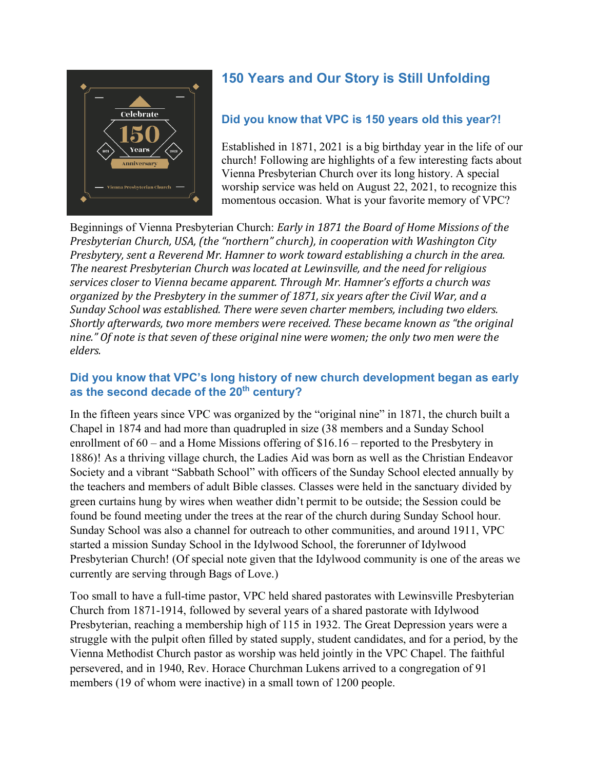

# **150 Years and Our Story is Still Unfolding**

## **Did you know that VPC is 150 years old this year?!**

Established in 1871, 2021 is a big birthday year in the life of our church! Following are highlights of a few interesting facts about Vienna Presbyterian Church over its long history. A special worship service was held on August 22, 2021, to recognize this momentous occasion. What is your favorite memory of VPC?

Beginnings of Vienna Presbyterian Church: *Early in 1871 the Board of Home Missions of the Presbyterian Church, USA, (the "northern" church), in cooperation with Washington City Presbytery, sent a Reverend Mr. Hamner to work toward establishing a church in the area. The nearest Presbyterian Church was located at Lewinsville, and the need for religious services closer to Vienna became apparent. Through Mr. Hamner's efforts a church was organized by the Presbytery in the summer of 1871, six years after the Civil War, and a Sunday School was established. There were seven charter members, including two elders. Shortly afterwards, two more members were received. These became known as "the original nine." Of note is that seven of these original nine were women; the only two men were the elders.*

#### **Did you know that VPC's long history of new church development began as early as the second decade of the 20th century?**

In the fifteen years since VPC was organized by the "original nine" in 1871, the church built a Chapel in 1874 and had more than quadrupled in size (38 members and a Sunday School enrollment of 60 – and a Home Missions offering of \$16.16 – reported to the Presbytery in 1886)! As a thriving village church, the Ladies Aid was born as well as the Christian Endeavor Society and a vibrant "Sabbath School" with officers of the Sunday School elected annually by the teachers and members of adult Bible classes. Classes were held in the sanctuary divided by green curtains hung by wires when weather didn't permit to be outside; the Session could be found be found meeting under the trees at the rear of the church during Sunday School hour. Sunday School was also a channel for outreach to other communities, and around 1911, VPC started a mission Sunday School in the Idylwood School, the forerunner of Idylwood Presbyterian Church! (Of special note given that the Idylwood community is one of the areas we currently are serving through Bags of Love.)

Too small to have a full-time pastor, VPC held shared pastorates with Lewinsville Presbyterian Church from 1871-1914, followed by several years of a shared pastorate with Idylwood Presbyterian, reaching a membership high of 115 in 1932. The Great Depression years were a struggle with the pulpit often filled by stated supply, student candidates, and for a period, by the Vienna Methodist Church pastor as worship was held jointly in the VPC Chapel. The faithful persevered, and in 1940, Rev. Horace Churchman Lukens arrived to a congregation of 91 members (19 of whom were inactive) in a small town of 1200 people.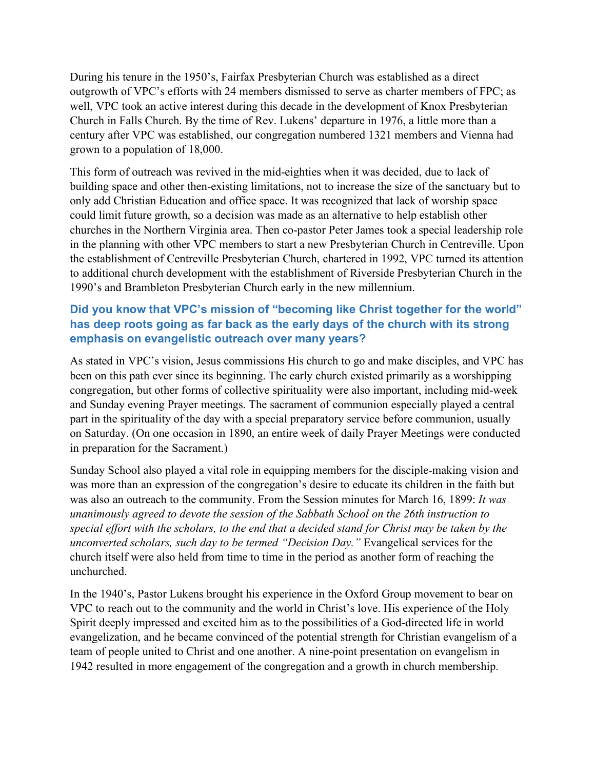During his tenure in the 1950's, Fairfax Presbyterian Church was established as a direct outgrowth of VPC's efforts with 24 members dismissed to serve as charter members of FPC; as well, VPC took an active interest during this decade in the development of Knox Presbyterian Church in Falls Church. By the time of Rev. Lukens' departure in 1976, a little more than a century after VPC was established, our congregation numbered 1321 members and Vienna had grown to a population of 18,000.

This form of outreach was revived in the mid-eighties when it was decided, due to lack of building space and other then-existing limitations, not to increase the size of the sanctuary but to only add Christian Education and office space. It was recognized that lack of worship space could limit future growth, so a decision was made as an alternative to help establish other churches in the Northern Virginia area. Then co-pastor Peter James took a special leadership role in the planning with other VPC members to start a new Presbyterian Church in Centreville. Upon the establishment of Centreville Presbyterian Church, chartered in 1992, VPC turned its attention to additional church development with the establishment of Riverside Presbyterian Church in the 1990's and Brambleton Presbyterian Church early in the new millennium.

## **Did you know that VPC's mission of "becoming like Christ together for the world" has deep roots going as far back as the early days of the church with its strong emphasis on evangelistic outreach over many years?**

As stated in VPC's vision, Jesus commissions His church to go and make disciples, and VPC has been on this path ever since its beginning. The early church existed primarily as a worshipping congregation, but other forms of collective spirituality were also important, including mid-week and Sunday evening Prayer meetings. The sacrament of communion especially played a central part in the spirituality of the day with a special preparatory service before communion, usually on Saturday. (On one occasion in 1890, an entire week of daily Prayer Meetings were conducted in preparation for the Sacrament.)

Sunday School also played a vital role in equipping members for the disciple-making vision and was more than an expression of the congregation's desire to educate its children in the faith but was also an outreach to the community. From the Session minutes for March 16, 1899: *It was unanimously agreed to devote the session of the Sabbath School on the 26th instruction to special effort with the scholars, to the end that a decided stand for Christ may be taken by the unconverted scholars, such day to be termed "Decision Day."* Evangelical services for the church itself were also held from time to time in the period as another form of reaching the unchurched.

In the 1940's, Pastor Lukens brought his experience in the Oxford Group movement to bear on VPC to reach out to the community and the world in Christ's love. His experience of the Holy Spirit deeply impressed and excited him as to the possibilities of a God-directed life in world evangelization, and he became convinced of the potential strength for Christian evangelism of a team of people united to Christ and one another. A nine-point presentation on evangelism in 1942 resulted in more engagement of the congregation and a growth in church membership.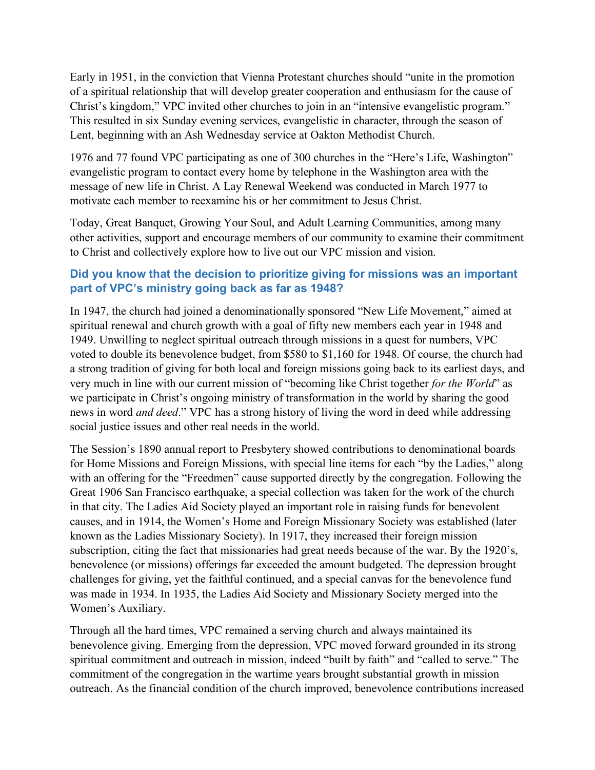Early in 1951, in the conviction that Vienna Protestant churches should "unite in the promotion of a spiritual relationship that will develop greater cooperation and enthusiasm for the cause of Christ's kingdom," VPC invited other churches to join in an "intensive evangelistic program." This resulted in six Sunday evening services, evangelistic in character, through the season of Lent, beginning with an Ash Wednesday service at Oakton Methodist Church.

1976 and 77 found VPC participating as one of 300 churches in the "Here's Life, Washington" evangelistic program to contact every home by telephone in the Washington area with the message of new life in Christ. A Lay Renewal Weekend was conducted in March 1977 to motivate each member to reexamine his or her commitment to Jesus Christ.

Today, Great Banquet, Growing Your Soul, and Adult Learning Communities, among many other activities, support and encourage members of our community to examine their commitment to Christ and collectively explore how to live out our VPC mission and vision.

#### **Did you know that the decision to prioritize giving for missions was an important part of VPC's ministry going back as far as 1948?**

In 1947, the church had joined a denominationally sponsored "New Life Movement," aimed at spiritual renewal and church growth with a goal of fifty new members each year in 1948 and 1949. Unwilling to neglect spiritual outreach through missions in a quest for numbers, VPC voted to double its benevolence budget, from \$580 to \$1,160 for 1948. Of course, the church had a strong tradition of giving for both local and foreign missions going back to its earliest days, and very much in line with our current mission of "becoming like Christ together *for the World*" as we participate in Christ's ongoing ministry of transformation in the world by sharing the good news in word *and deed*." VPC has a strong history of living the word in deed while addressing social justice issues and other real needs in the world.

The Session's 1890 annual report to Presbytery showed contributions to denominational boards for Home Missions and Foreign Missions, with special line items for each "by the Ladies," along with an offering for the "Freedmen" cause supported directly by the congregation. Following the Great 1906 San Francisco earthquake, a special collection was taken for the work of the church in that city. The Ladies Aid Society played an important role in raising funds for benevolent causes, and in 1914, the Women's Home and Foreign Missionary Society was established (later known as the Ladies Missionary Society). In 1917, they increased their foreign mission subscription, citing the fact that missionaries had great needs because of the war. By the 1920's, benevolence (or missions) offerings far exceeded the amount budgeted. The depression brought challenges for giving, yet the faithful continued, and a special canvas for the benevolence fund was made in 1934. In 1935, the Ladies Aid Society and Missionary Society merged into the Women's Auxiliary.

Through all the hard times, VPC remained a serving church and always maintained its benevolence giving. Emerging from the depression, VPC moved forward grounded in its strong spiritual commitment and outreach in mission, indeed "built by faith" and "called to serve." The commitment of the congregation in the wartime years brought substantial growth in mission outreach. As the financial condition of the church improved, benevolence contributions increased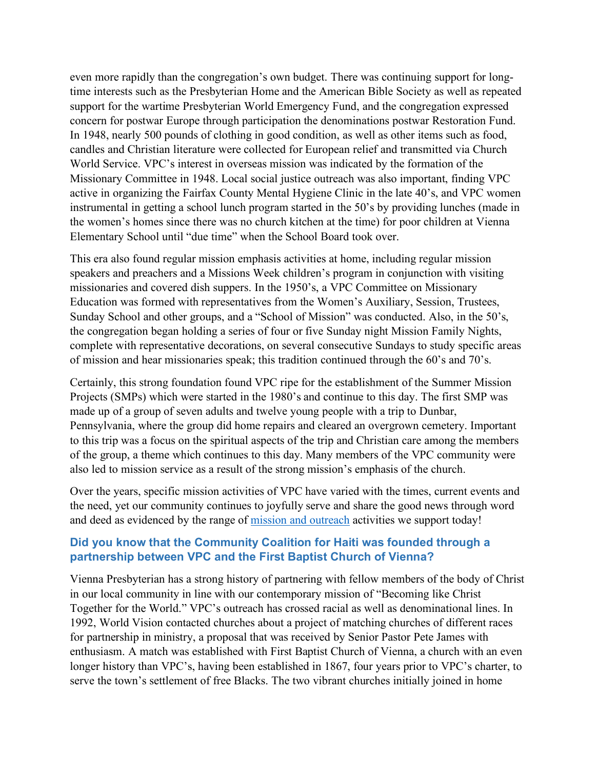even more rapidly than the congregation's own budget. There was continuing support for longtime interests such as the Presbyterian Home and the American Bible Society as well as repeated support for the wartime Presbyterian World Emergency Fund, and the congregation expressed concern for postwar Europe through participation the denominations postwar Restoration Fund. In 1948, nearly 500 pounds of clothing in good condition, as well as other items such as food, candles and Christian literature were collected for European relief and transmitted via Church World Service. VPC's interest in overseas mission was indicated by the formation of the Missionary Committee in 1948. Local social justice outreach was also important, finding VPC active in organizing the Fairfax County Mental Hygiene Clinic in the late 40's, and VPC women instrumental in getting a school lunch program started in the 50's by providing lunches (made in the women's homes since there was no church kitchen at the time) for poor children at Vienna Elementary School until "due time" when the School Board took over.

This era also found regular mission emphasis activities at home, including regular mission speakers and preachers and a Missions Week children's program in conjunction with visiting missionaries and covered dish suppers. In the 1950's, a VPC Committee on Missionary Education was formed with representatives from the Women's Auxiliary, Session, Trustees, Sunday School and other groups, and a "School of Mission" was conducted. Also, in the 50's, the congregation began holding a series of four or five Sunday night Mission Family Nights, complete with representative decorations, on several consecutive Sundays to study specific areas of mission and hear missionaries speak; this tradition continued through the 60's and 70's.

Certainly, this strong foundation found VPC ripe for the establishment of the Summer Mission Projects (SMPs) which were started in the 1980's and continue to this day. The first SMP was made up of a group of seven adults and twelve young people with a trip to Dunbar, Pennsylvania, where the group did home repairs and cleared an overgrown cemetery. Important to this trip was a focus on the spiritual aspects of the trip and Christian care among the members of the group, a theme which continues to this day. Many members of the VPC community were also led to mission service as a result of the strong mission's emphasis of the church.

Over the years, specific mission activities of VPC have varied with the times, current events and the need, yet our community continues to joyfully serve and share the good news through word and deed as evidenced by the range of [mission and outreach](https://www.viennapres.org/serve/missions/) activities we support today!

#### **Did you know that the Community Coalition for Haiti was founded through a partnership between VPC and the First Baptist Church of Vienna?**

Vienna Presbyterian has a strong history of partnering with fellow members of the body of Christ in our local community in line with our contemporary mission of "Becoming like Christ Together for the World." VPC's outreach has crossed racial as well as denominational lines. In 1992, World Vision contacted churches about a project of matching churches of different races for partnership in ministry, a proposal that was received by Senior Pastor Pete James with enthusiasm. A match was established with First Baptist Church of Vienna, a church with an even longer history than VPC's, having been established in 1867, four years prior to VPC's charter, to serve the town's settlement of free Blacks. The two vibrant churches initially joined in home